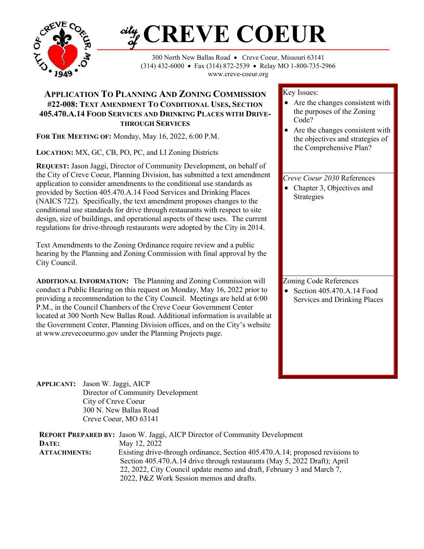

# **CREVE COEUR** ciły<br>of

300 North New Ballas Road • Creve Coeur, Missouri 63141 (314) 432-6000 • Fax (314) 872-2539 • Relay MO 1-800-735-2966 www.creve-coeur.org

## **APPLICATION TO PLANNING AND ZONING COMMISSION #22-008: TEXT AMENDMENT TO CONDITIONAL USES, SECTION 405.470.A.14 FOOD SERVICES AND DRINKING PLACES WITH DRIVE-THROUGH SERVICES**

**FOR THE MEETING OF:** Monday, May 16, 2022, 6:00 P.M.

**LOCATION:** MX, GC, CB, PO, PC, and LI Zoning Districts

**REQUEST:** Jason Jaggi, Director of Community Development, on behalf of the City of Creve Coeur, Planning Division, has submitted a text amendment application to consider amendments to the conditional use standards as provided by Section 405.470.A.14 Food Services and Drinking Places (NAICS 722). Specifically, the text amendment proposes changes to the conditional use standards for drive through restaurants with respect to site design, size of buildings, and operational aspects of these uses. The current regulations for drive-through restaurants were adopted by the City in 2014.

Text Amendments to the Zoning Ordinance require review and a public hearing by the Planning and Zoning Commission with final approval by the City Council.

**ADDITIONAL INFORMATION:** The Planning and Zoning Commission will conduct a Public Hearing on this request on Monday, May 16, 2022 prior to providing a recommendation to the City Council. Meetings are held at 6:00 P.M., in the Council Chambers of the Creve Coeur Government Center located at 300 North New Ballas Road. Additional information is available at the Government Center, Planning Division offices, and on the City's website at www.crevecoeurmo.gov under the Planning Projects page.

Key Issues:

- Are the changes consistent with the purposes of the Zoning Code?
- Are the changes consistent with the objectives and strategies of the Comprehensive Plan?

## *Creve Coeur 2030* References

• Chapter 3, Objectives and Strategies

Zoning Code References

• Section  $405.470.A.14$  Food Services and Drinking Places

**APPLICANT:** Jason W. Jaggi, AICP Director of Community Development City of Creve Coeur 300 N. New Ballas Road Creve Coeur, MO 63141

**REPORT PREPARED BY:** Jason W. Jaggi, AICP Director of Community Development **DATE:** May 12, 2022 **ATTACHMENTS:** Existing drive-through ordinance, Section 405.470.A.14; proposed revisions to Section 405.470.A.14 drive through restaurants (May 5, 2022 Draft); April 22, 2022, City Council update memo and draft, February 3 and March 7, 2022, P&Z Work Session memos and drafts.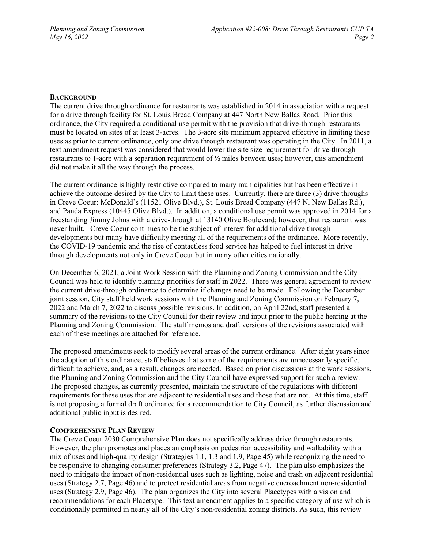#### **BACKGROUND**

The current drive through ordinance for restaurants was established in 2014 in association with a request for a drive through facility for St. Louis Bread Company at 447 North New Ballas Road. Prior this ordinance, the City required a conditional use permit with the provision that drive-through restaurants must be located on sites of at least 3-acres. The 3-acre site minimum appeared effective in limiting these uses as prior to current ordinance, only one drive through restaurant was operating in the City. In 2011, a text amendment request was considered that would lower the site size requirement for drive-through restaurants to 1-acre with a separation requirement of ½ miles between uses; however, this amendment did not make it all the way through the process.

The current ordinance is highly restrictive compared to many municipalities but has been effective in achieve the outcome desired by the City to limit these uses. Currently, there are three (3) drive throughs in Creve Coeur: McDonald's (11521 Olive Blvd.), St. Louis Bread Company (447 N. New Ballas Rd.), and Panda Express (10445 Olive Blvd.). In addition, a conditional use permit was approved in 2014 for a freestanding Jimmy Johns with a drive-through at 13140 Olive Boulevard; however, that restaurant was never built. Creve Coeur continues to be the subject of interest for additional drive through developments but many have difficulty meeting all of the requirements of the ordinance. More recently, the COVID-19 pandemic and the rise of contactless food service has helped to fuel interest in drive through developments not only in Creve Coeur but in many other cities nationally.

On December 6, 2021, a Joint Work Session with the Planning and Zoning Commission and the City Council was held to identify planning priorities for staff in 2022. There was general agreement to review the current drive-through ordinance to determine if changes need to be made. Following the December joint session, City staff held work sessions with the Planning and Zoning Commission on February 7, 2022 and March 7, 2022 to discuss possible revisions. In addition, on April 22nd, staff presented a summary of the revisions to the City Council for their review and input prior to the public hearing at the Planning and Zoning Commission. The staff memos and draft versions of the revisions associated with each of these meetings are attached for reference.

The proposed amendments seek to modify several areas of the current ordinance. After eight years since the adoption of this ordinance, staff believes that some of the requirements are unnecessarily specific, difficult to achieve, and, as a result, changes are needed. Based on prior discussions at the work sessions, the Planning and Zoning Commission and the City Council have expressed support for such a review. The proposed changes, as currently presented, maintain the structure of the regulations with different requirements for these uses that are adjacent to residential uses and those that are not. At this time, staff is not proposing a formal draft ordinance for a recommendation to City Council, as further discussion and additional public input is desired.

### **COMPREHENSIVE PLAN REVIEW**

The Creve Coeur 2030 Comprehensive Plan does not specifically address drive through restaurants. However, the plan promotes and places an emphasis on pedestrian accessibility and walkability with a mix of uses and high-quality design (Strategies 1.1, 1.3 and 1.9, Page 45) while recognizing the need to be responsive to changing consumer preferences (Strategy 3.2, Page 47). The plan also emphasizes the need to mitigate the impact of non-residential uses such as lighting, noise and trash on adjacent residential uses (Strategy 2.7, Page 46) and to protect residential areas from negative encroachment non-residential uses (Strategy 2.9, Page 46). The plan organizes the City into several Placetypes with a vision and recommendations for each Placetype. This text amendment applies to a specific category of use which is conditionally permitted in nearly all of the City's non-residential zoning districts. As such, this review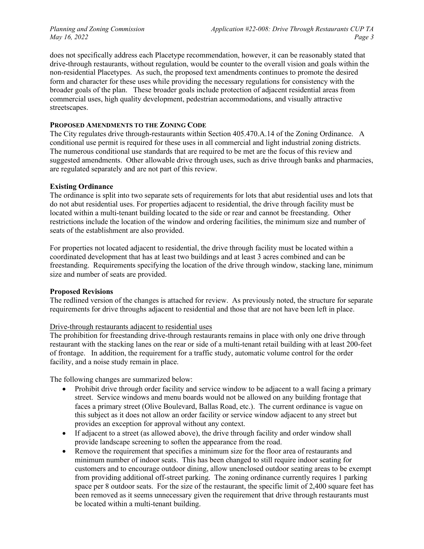does not specifically address each Placetype recommendation, however, it can be reasonably stated that drive-through restaurants, without regulation, would be counter to the overall vision and goals within the non-residential Placetypes. As such, the proposed text amendments continues to promote the desired form and character for these uses while providing the necessary regulations for consistency with the broader goals of the plan. These broader goals include protection of adjacent residential areas from commercial uses, high quality development, pedestrian accommodations, and visually attractive streetscapes.

### **PROPOSED AMENDMENTS TO THE ZONING CODE**

The City regulates drive through-restaurants within Section 405.470.A.14 of the Zoning Ordinance. A conditional use permit is required for these uses in all commercial and light industrial zoning districts. The numerous conditional use standards that are required to be met are the focus of this review and suggested amendments. Other allowable drive through uses, such as drive through banks and pharmacies, are regulated separately and are not part of this review.

### **Existing Ordinance**

The ordinance is split into two separate sets of requirements for lots that abut residential uses and lots that do not abut residential uses. For properties adjacent to residential, the drive through facility must be located within a multi-tenant building located to the side or rear and cannot be freestanding. Other restrictions include the location of the window and ordering facilities, the minimum size and number of seats of the establishment are also provided.

For properties not located adjacent to residential, the drive through facility must be located within a coordinated development that has at least two buildings and at least 3 acres combined and can be freestanding. Requirements specifying the location of the drive through window, stacking lane, minimum size and number of seats are provided.

### **Proposed Revisions**

The redlined version of the changes is attached for review. As previously noted, the structure for separate requirements for drive throughs adjacent to residential and those that are not have been left in place.

### Drive-through restaurants adjacent to residential uses

The prohibition for freestanding drive-through restaurants remains in place with only one drive through restaurant with the stacking lanes on the rear or side of a multi-tenant retail building with at least 200-feet of frontage. In addition, the requirement for a traffic study, automatic volume control for the order facility, and a noise study remain in place.

The following changes are summarized below:

- Prohibit drive through order facility and service window to be adjacent to a wall facing a primary street. Service windows and menu boards would not be allowed on any building frontage that faces a primary street (Olive Boulevard, Ballas Road, etc.). The current ordinance is vague on this subject as it does not allow an order facility or service window adjacent to any street but provides an exception for approval without any context.
- If adjacent to a street (as allowed above), the drive through facility and order window shall provide landscape screening to soften the appearance from the road.
- Remove the requirement that specifies a minimum size for the floor area of restaurants and minimum number of indoor seats. This has been changed to still require indoor seating for customers and to encourage outdoor dining, allow unenclosed outdoor seating areas to be exempt from providing additional off-street parking. The zoning ordinance currently requires 1 parking space per 8 outdoor seats. For the size of the restaurant, the specific limit of 2,400 square feet has been removed as it seems unnecessary given the requirement that drive through restaurants must be located within a multi-tenant building.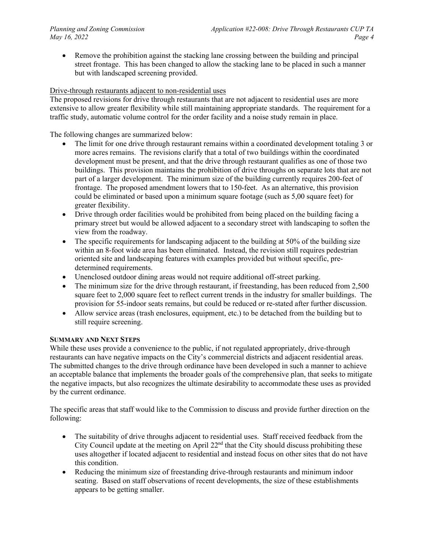• Remove the prohibition against the stacking lane crossing between the building and principal street frontage. This has been changed to allow the stacking lane to be placed in such a manner but with landscaped screening provided.

### Drive-through restaurants adjacent to non-residential uses

The proposed revisions for drive through restaurants that are not adjacent to residential uses are more extensive to allow greater flexibility while still maintaining appropriate standards. The requirement for a traffic study, automatic volume control for the order facility and a noise study remain in place.

The following changes are summarized below:

- The limit for one drive through restaurant remains within a coordinated development totaling 3 or more acres remains. The revisions clarify that a total of two buildings within the coordinated development must be present, and that the drive through restaurant qualifies as one of those two buildings. This provision maintains the prohibition of drive throughs on separate lots that are not part of a larger development. The minimum size of the building currently requires 200-feet of frontage. The proposed amendment lowers that to 150-feet. As an alternative, this provision could be eliminated or based upon a minimum square footage (such as 5,00 square feet) for greater flexibility.
- Drive through order facilities would be prohibited from being placed on the building facing a primary street but would be allowed adjacent to a secondary street with landscaping to soften the view from the roadway.
- The specific requirements for landscaping adjacent to the building at 50% of the building size within an 8-foot wide area has been eliminated. Instead, the revision still requires pedestrian oriented site and landscaping features with examples provided but without specific, predetermined requirements.
- Unenclosed outdoor dining areas would not require additional off-street parking.
- The minimum size for the drive through restaurant, if freestanding, has been reduced from 2,500 square feet to 2,000 square feet to reflect current trends in the industry for smaller buildings. The provision for 55-indoor seats remains, but could be reduced or re-stated after further discussion.
- Allow service areas (trash enclosures, equipment, etc.) to be detached from the building but to still require screening.

### **SUMMARY AND NEXT STEPS**

While these uses provide a convenience to the public, if not regulated appropriately, drive-through restaurants can have negative impacts on the City's commercial districts and adjacent residential areas. The submitted changes to the drive through ordinance have been developed in such a manner to achieve an acceptable balance that implements the broader goals of the comprehensive plan, that seeks to mitigate the negative impacts, but also recognizes the ultimate desirability to accommodate these uses as provided by the current ordinance.

The specific areas that staff would like to the Commission to discuss and provide further direction on the following:

- The suitability of drive throughs adjacent to residential uses. Staff received feedback from the City Council update at the meeting on April 22<sup>nd</sup> that the City should discuss prohibiting these uses altogether if located adjacent to residential and instead focus on other sites that do not have this condition.
- Reducing the minimum size of freestanding drive-through restaurants and minimum indoor seating. Based on staff observations of recent developments, the size of these establishments appears to be getting smaller.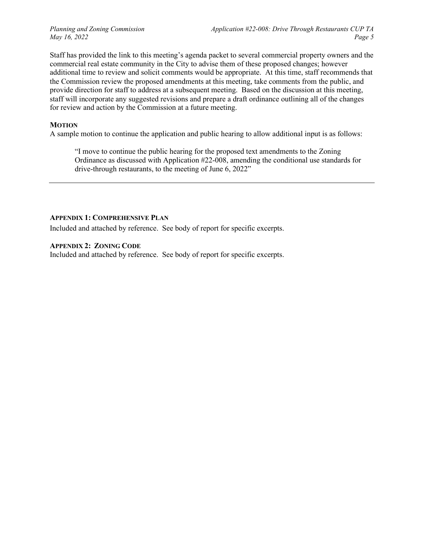Staff has provided the link to this meeting's agenda packet to several commercial property owners and the commercial real estate community in the City to advise them of these proposed changes; however additional time to review and solicit comments would be appropriate. At this time, staff recommends that the Commission review the proposed amendments at this meeting, take comments from the public, and provide direction for staff to address at a subsequent meeting. Based on the discussion at this meeting, staff will incorporate any suggested revisions and prepare a draft ordinance outlining all of the changes for review and action by the Commission at a future meeting.

#### **MOTION**

A sample motion to continue the application and public hearing to allow additional input is as follows:

"I move to continue the public hearing for the proposed text amendments to the Zoning Ordinance as discussed with Application #22-008, amending the conditional use standards for drive-through restaurants, to the meeting of June 6, 2022"

#### **APPENDIX 1: COMPREHENSIVE PLAN**

Included and attached by reference. See body of report for specific excerpts.

#### **APPENDIX 2: ZONING CODE**

Included and attached by reference. See body of report for specific excerpts.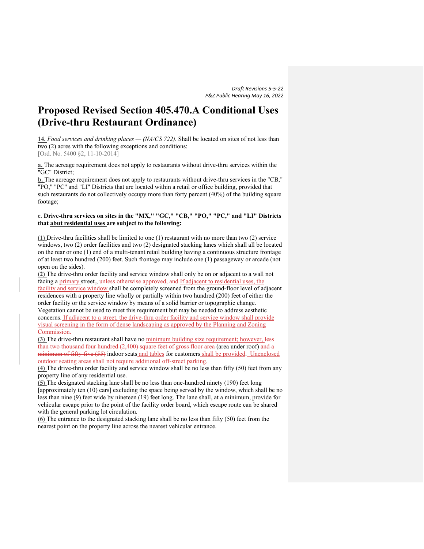# **Proposed Revised Section 405.470.A Conditional Uses (Drive-thru Restaurant Ordinance)**

**14.** *Food services and drinking places — (NA/CS 722).* Shall be located on sites of not less than  $\overline{two}$  (2) acres with the following exceptions and conditions: [Ord. No. 5400 §2, 11-10-2014]

**a.** The acreage requirement does not apply to restaurants without drive-thru services within the "GC" District;

**b.** The acreage requirement does not apply to restaurants without drive-thru services in the "CB," "PO," "PC" and "LI" Districts that are located within a retail or office building, provided that such restaurants do not collectively occupy more than forty percent (40%) of the building square footage;

#### **c. Drive-thru services on sites in the "MX," "GC," "CB," "PO," "PC," and "LI" Districts that abut residential uses are subject to the following:**

**(1)** Drive-thru facilities shall be limited to one (1) restaurant with no more than two (2) service windows, two (2) order facilities and two (2) designated stacking lanes which shall all be located on the rear or one (1) end of a multi-tenant retail building having a continuous structure frontage of at least two hundred (200) feet. Such frontage may include one (1) passageway or arcade (not open on the sides).

**(2)** The drive-thru order facility and service window shall only be on or adjacent to a wall not facing a primary street., unless otherwise approved, and If adjacent to residential uses, the facility and service window shall be completely screened from the ground-floor level of adjacent residences with a property line wholly or partially within two hundred (200) feet of either the order facility or the service window by means of a solid barrier or topographic change.

Vegetation cannot be used to meet this requirement but may be needed to address aesthetic concerns. If adjacent to a street, the drive-thru order facility and service window shall provide visual screening in the form of dense landscaping as approved by the Planning and Zoning Commission.

**(3)** The drive-thru restaurant shall have no minimum building size requirement; however, less than two thousand four hundred (2,400) square feet of gross floor area (area under roof) and a minimum of fifty-five (55) indoor seats and tables for customers shall be provided. Unenclosed outdoor seating areas shall not require additional off-street parking.

**(4)** The drive-thru order facility and service window shall be no less than fifty (50) feet from any property line of any residential use.

**(5)** The designated stacking lane shall be no less than one-hundred ninety (190) feet long [approximately ten (10) cars] excluding the space being served by the window, which shall be no less than nine (9) feet wide by nineteen (19) feet long. The lane shall, at a minimum, provide for vehicular escape prior to the point of the facility order board, which escape route can be shared with the general parking lot circulation.

**(6)** The entrance to the designated stacking lane shall be no less than fifty (50) feet from the nearest point on the property line across the nearest vehicular entrance.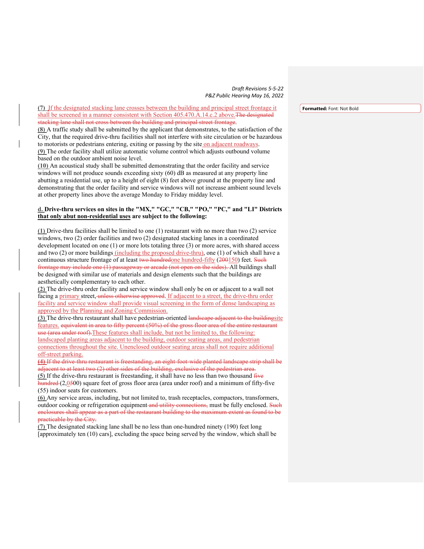*Draft Revisions 5-5-22 P&Z Public Hearing May 16, 2022*

**(7)** If the designated stacking lane crosses between the building and principal street frontage it shall be screened in a manner consistent with Section 405.470.A.14.c.2 above.The designated stacking lane shall not cross between the building and principal street frontage.

**(8)** A traffic study shall be submitted by the applicant that demonstrates, to the satisfaction of the City, that the required drive-thru facilities shall not interfere with site circulation or be hazardous to motorists or pedestrians entering, exiting or passing by the site on adjacent roadways. **(9)** The order facility shall utilize automatic volume control which adjusts outbound volume

based on the outdoor ambient noise level. **(10)** An acoustical study shall be submitted demonstrating that the order facility and service windows will not produce sounds exceeding sixty (60) dB as measured at any property line abutting a residential use, up to a height of eight (8) feet above ground at the property line and demonstrating that the order facility and service windows will not increase ambient sound levels at other property lines above the average Monday to Friday midday level.

#### **d. Drive-thru services on sites in the "MX," "GC," "CB," "PO," "PC," and "LI" Districts that only abut non-residential uses are subject to the following:**

**(1)** Drive-thru facilities shall be limited to one (1) restaurant with no more than two (2) service windows, two (2) order facilities and two (2) designated stacking lanes in a coordinated development located on one (1) or more lots totaling three (3) or more acres, with shared access and two (2) or more buildings (including the proposed drive-thru), one (1) of which shall have a continuous structure frontage of at least two hundredone hundred-fifty (200150) feet. Such frontage may include one (1) passageway or arcade (not open on the sides). All buildings shall be designed with similar use of materials and design elements such that the buildings are aesthetically complementary to each other.

**(2)** The drive-thru order facility and service window shall only be on or adjacent to a wall not facing a primary street, unless otherwise approved. If adjacent to a street, the drive-thru order facility and service window shall provide visual screening in the form of dense landscaping as approved by the Planning and Zoning Commission.

**(3)** The drive-thru restaurant shall have pedestrian-oriented landscape adjacent to the buildingsite features. equivalent in area to fifty percent (50%) of the gross floor area of the entire restaurant use (area under roof).These features shall include, but not be limited to, the following: landscaped planting areas adjacent to the building, outdoor seating areas, and pedestrian connections throughout the site. Unenclosed outdoor seating areas shall not require additional off-street parking.

**(4)** If the drive-thru restaurant is freestanding, an eight-foot-wide planted landscape strip shall be adjacent to at least two (2) other sides of the building, exclusive of the pedestrian area.

**(5)** If the drive-thru restaurant is freestanding, it shall have no less than two thousand five hundred (2,0500) square feet of gross floor area (area under roof) and a minimum of fifty-five (55) indoor seats for customers.

**(6)** Any service areas, including, but not limited to, trash receptacles, compactors, transformers, outdoor cooking or refrigeration equipment and utility connections, must be fully enclosed. Such enclosures shall appear as a part of the restaurant building to the maximum extent as found to be practicable by the City.

**(7)** The designated stacking lane shall be no less than one-hundred ninety (190) feet long [approximately ten (10) cars], excluding the space being served by the window, which shall be **Formatted:** Font: Not Bold